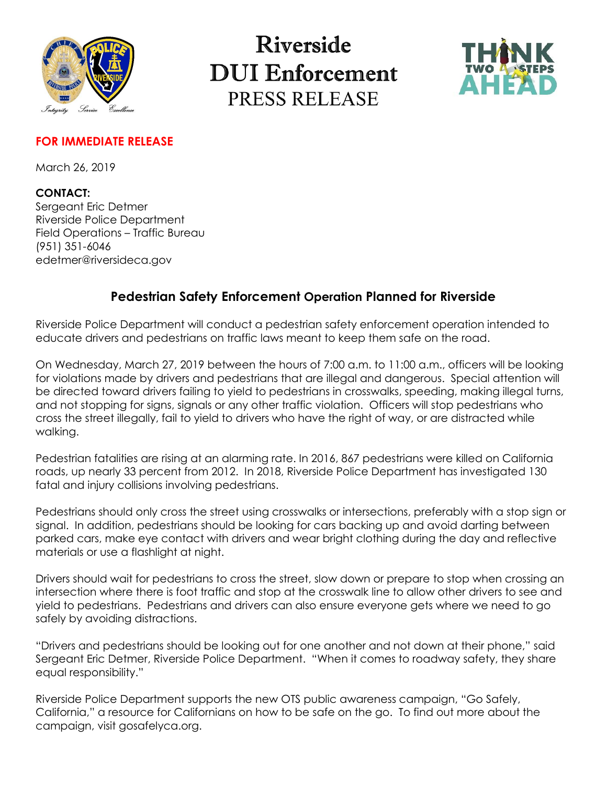

## Riverside **DUI** Enforcement PRESS RELEASE



#### **FOR IMMEDIATE RELEASE**

March 26, 2019

### **CONTACT:**

Sergeant Eric Detmer Riverside Police Department Field Operations – Traffic Bureau (951) 351-6046 [edetmer@riversideca.gov](mailto:edetmer@riversideca.gov) 

### **Pedestrian Safety Enforcement Operation Planned for Riverside**

Riverside Police Department will conduct a pedestrian safety enforcement operation intended to educate drivers and pedestrians on traffic laws meant to keep them safe on the road.

On Wednesday, March 27, 2019 between the hours of 7:00 a.m. to 11:00 a.m., officers will be looking for violations made by drivers and pedestrians that are illegal and dangerous. Special attention will be directed toward drivers failing to yield to pedestrians in crosswalks, speeding, making illegal turns, and not stopping for signs, signals or any other traffic violation. Officers will stop pedestrians who cross the street illegally, fail to yield to drivers who have the right of way, or are distracted while walking.

Pedestrian fatalities are rising at an alarming rate. In 2016, 867 pedestrians were killed on California roads, up nearly 33 percent from 2012. In 2018, Riverside Police Department has investigated 130 fatal and injury collisions involving pedestrians.

Pedestrians should only cross the street using crosswalks or intersections, preferably with a stop sign or signal. In addition, pedestrians should be looking for cars backing up and avoid darting between parked cars, make eye contact with drivers and wear bright clothing during the day and reflective materials or use a flashlight at night.

Drivers should wait for pedestrians to cross the street, slow down or prepare to stop when crossing an intersection where there is foot traffic and stop at the crosswalk line to allow other drivers to see and yield to pedestrians. Pedestrians and drivers can also ensure everyone gets where we need to go safely by avoiding distractions.

"Drivers and pedestrians should be looking out for one another and not down at their phone," said Sergeant Eric Detmer, Riverside Police Department. "When it comes to roadway safety, they share equal responsibility."

Riverside Police Department supports the new OTS public awareness campaign, "Go Safely, California," a resource for Californians on how to be safe on the go. To find out more about the campaign, visit gosafelyca.org.